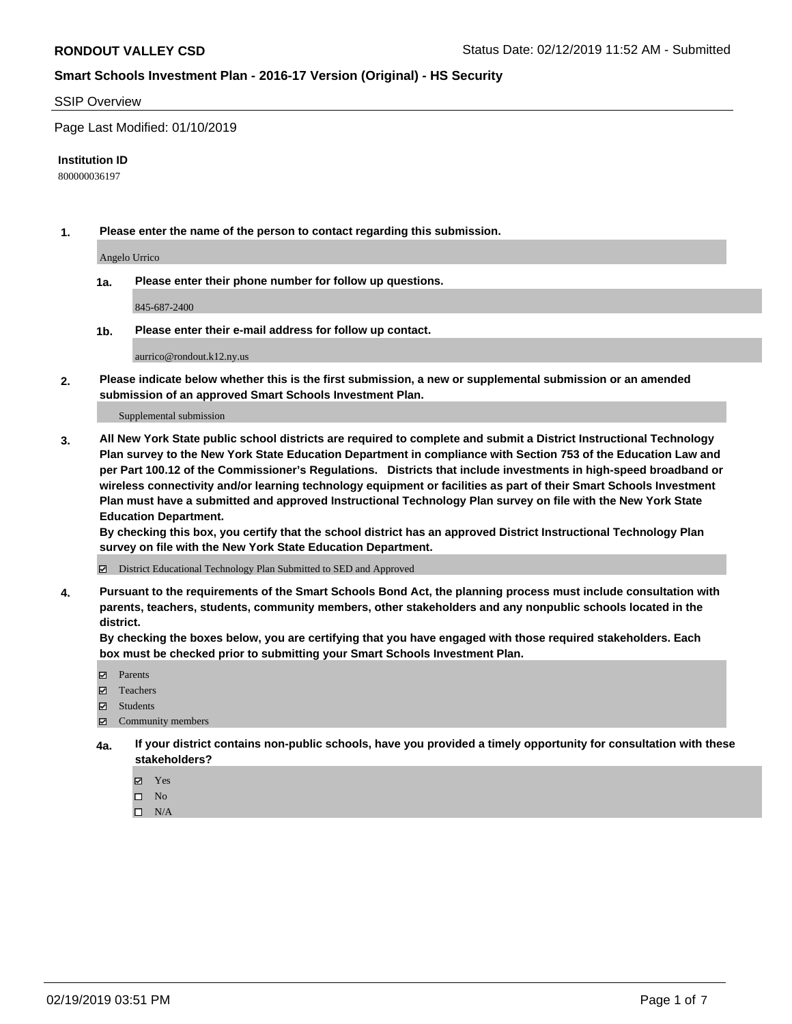#### SSIP Overview

Page Last Modified: 01/10/2019

#### **Institution ID**

800000036197

**1. Please enter the name of the person to contact regarding this submission.**

Angelo Urrico

**1a. Please enter their phone number for follow up questions.**

845-687-2400

**1b. Please enter their e-mail address for follow up contact.**

aurrico@rondout.k12.ny.us

**2. Please indicate below whether this is the first submission, a new or supplemental submission or an amended submission of an approved Smart Schools Investment Plan.**

Supplemental submission

**3. All New York State public school districts are required to complete and submit a District Instructional Technology Plan survey to the New York State Education Department in compliance with Section 753 of the Education Law and per Part 100.12 of the Commissioner's Regulations. Districts that include investments in high-speed broadband or wireless connectivity and/or learning technology equipment or facilities as part of their Smart Schools Investment Plan must have a submitted and approved Instructional Technology Plan survey on file with the New York State Education Department.** 

**By checking this box, you certify that the school district has an approved District Instructional Technology Plan survey on file with the New York State Education Department.**

District Educational Technology Plan Submitted to SED and Approved

**4. Pursuant to the requirements of the Smart Schools Bond Act, the planning process must include consultation with parents, teachers, students, community members, other stakeholders and any nonpublic schools located in the district.** 

**By checking the boxes below, you are certifying that you have engaged with those required stakeholders. Each box must be checked prior to submitting your Smart Schools Investment Plan.**

- **□** Parents
- Teachers
- Students
- $\boxtimes$  Community members
- **4a. If your district contains non-public schools, have you provided a timely opportunity for consultation with these stakeholders?**
	- Yes
	- $\qquad \qquad$  No
	- $\square$  N/A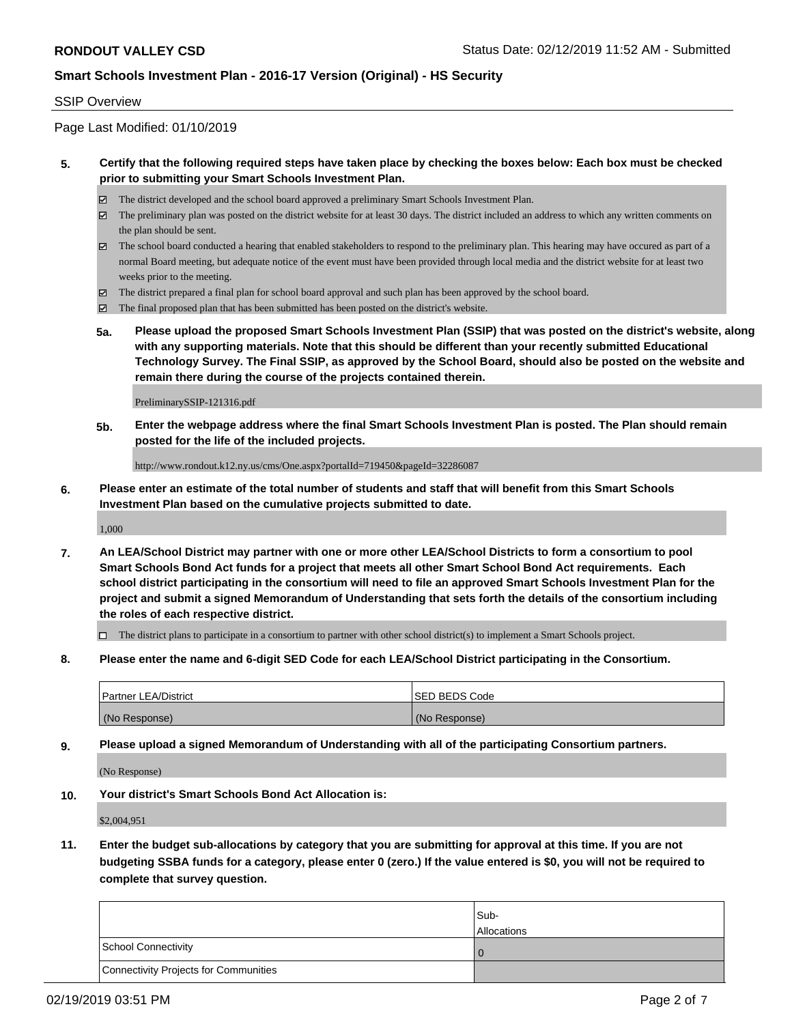#### SSIP Overview

Page Last Modified: 01/10/2019

#### **5. Certify that the following required steps have taken place by checking the boxes below: Each box must be checked prior to submitting your Smart Schools Investment Plan.**

- The district developed and the school board approved a preliminary Smart Schools Investment Plan.
- $\boxtimes$  The preliminary plan was posted on the district website for at least 30 days. The district included an address to which any written comments on the plan should be sent.
- $\boxtimes$  The school board conducted a hearing that enabled stakeholders to respond to the preliminary plan. This hearing may have occured as part of a normal Board meeting, but adequate notice of the event must have been provided through local media and the district website for at least two weeks prior to the meeting.
- The district prepared a final plan for school board approval and such plan has been approved by the school board.
- $\boxtimes$  The final proposed plan that has been submitted has been posted on the district's website.
- **5a. Please upload the proposed Smart Schools Investment Plan (SSIP) that was posted on the district's website, along with any supporting materials. Note that this should be different than your recently submitted Educational Technology Survey. The Final SSIP, as approved by the School Board, should also be posted on the website and remain there during the course of the projects contained therein.**

PreliminarySSIP-121316.pdf

**5b. Enter the webpage address where the final Smart Schools Investment Plan is posted. The Plan should remain posted for the life of the included projects.**

http://www.rondout.k12.ny.us/cms/One.aspx?portalId=719450&pageId=32286087

**6. Please enter an estimate of the total number of students and staff that will benefit from this Smart Schools Investment Plan based on the cumulative projects submitted to date.**

1,000

**7. An LEA/School District may partner with one or more other LEA/School Districts to form a consortium to pool Smart Schools Bond Act funds for a project that meets all other Smart School Bond Act requirements. Each school district participating in the consortium will need to file an approved Smart Schools Investment Plan for the project and submit a signed Memorandum of Understanding that sets forth the details of the consortium including the roles of each respective district.**

 $\Box$  The district plans to participate in a consortium to partner with other school district(s) to implement a Smart Schools project.

**8. Please enter the name and 6-digit SED Code for each LEA/School District participating in the Consortium.**

| <b>Partner LEA/District</b> | <b>ISED BEDS Code</b> |
|-----------------------------|-----------------------|
| (No Response)               | (No Response)         |

**9. Please upload a signed Memorandum of Understanding with all of the participating Consortium partners.**

(No Response)

**10. Your district's Smart Schools Bond Act Allocation is:**

\$2,004,951

**11. Enter the budget sub-allocations by category that you are submitting for approval at this time. If you are not budgeting SSBA funds for a category, please enter 0 (zero.) If the value entered is \$0, you will not be required to complete that survey question.**

|                                              | Sub-<br><b>Allocations</b> |
|----------------------------------------------|----------------------------|
| <b>School Connectivity</b>                   |                            |
| <b>Connectivity Projects for Communities</b> |                            |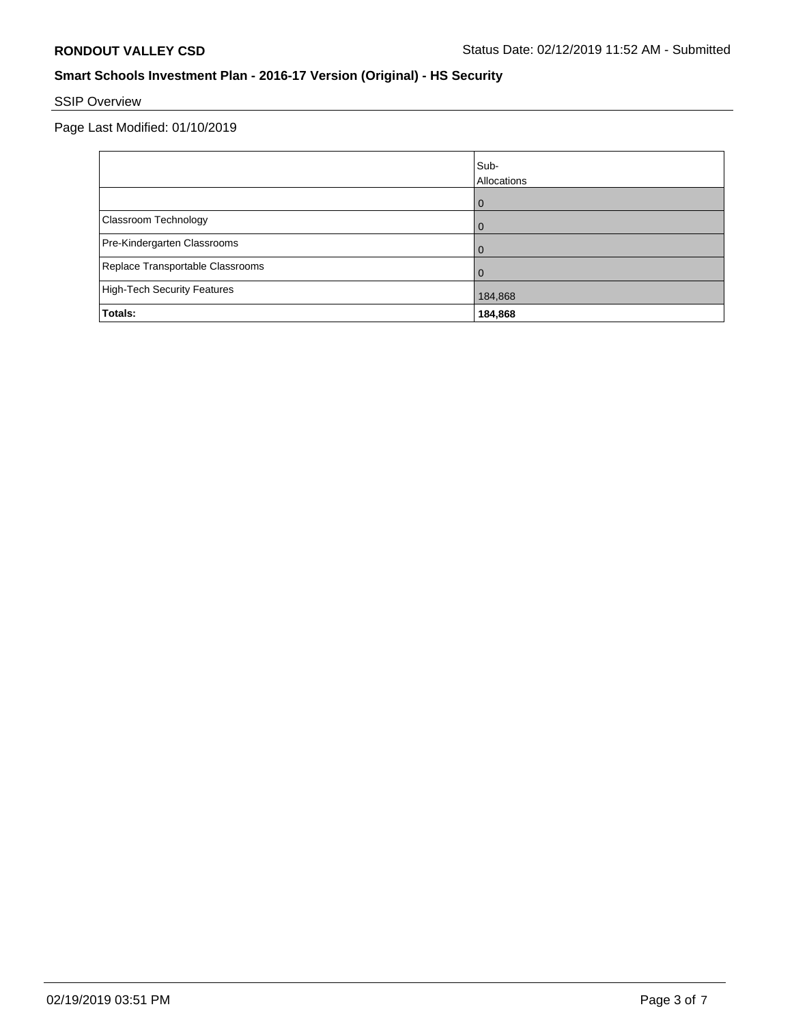# SSIP Overview

|                                    | Sub-<br>Allocations |
|------------------------------------|---------------------|
|                                    | ω                   |
| Classroom Technology               |                     |
| Pre-Kindergarten Classrooms        |                     |
| Replace Transportable Classrooms   |                     |
| <b>High-Tech Security Features</b> | 184,868             |
| Totals:                            | 184,868             |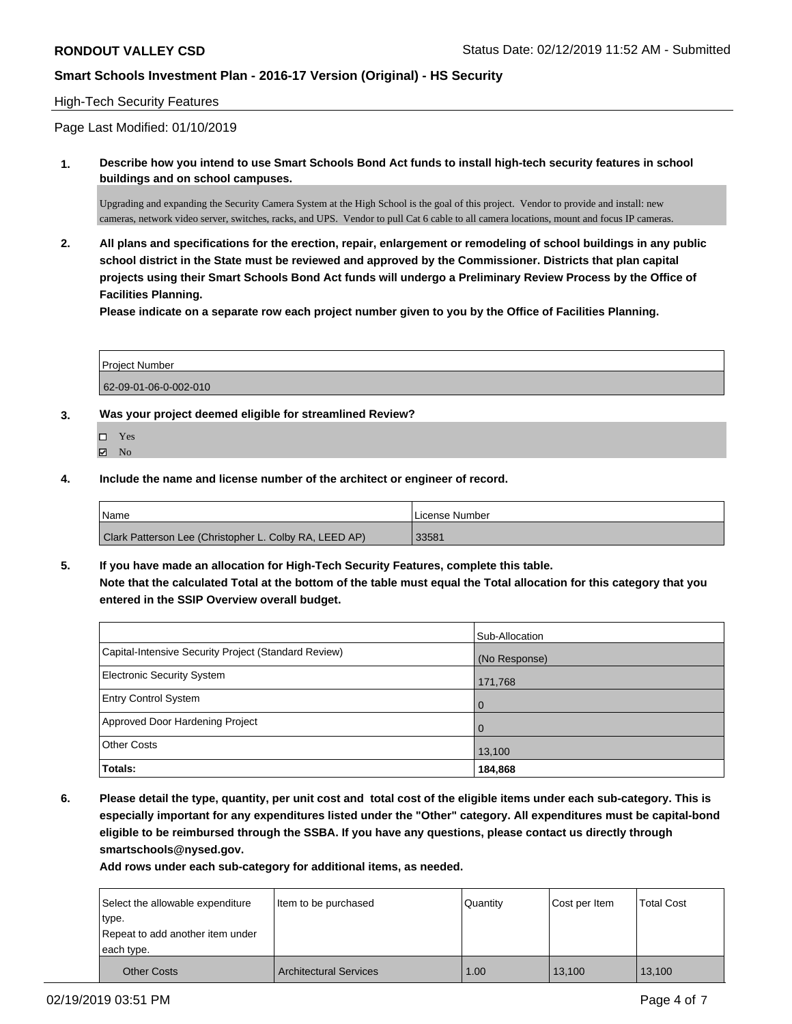#### High-Tech Security Features

Page Last Modified: 01/10/2019

**1. Describe how you intend to use Smart Schools Bond Act funds to install high-tech security features in school buildings and on school campuses.**

Upgrading and expanding the Security Camera System at the High School is the goal of this project. Vendor to provide and install: new cameras, network video server, switches, racks, and UPS. Vendor to pull Cat 6 cable to all camera locations, mount and focus IP cameras.

**2. All plans and specifications for the erection, repair, enlargement or remodeling of school buildings in any public school district in the State must be reviewed and approved by the Commissioner. Districts that plan capital projects using their Smart Schools Bond Act funds will undergo a Preliminary Review Process by the Office of Facilities Planning.** 

**Please indicate on a separate row each project number given to you by the Office of Facilities Planning.**

| <b>Project Number</b> |  |
|-----------------------|--|
| 62-09-01-06-0-002-010 |  |

- **3. Was your project deemed eligible for streamlined Review?**
	- Yes
	- **Z** No
- **4. Include the name and license number of the architect or engineer of record.**

| <b>Name</b>                                            | l License Number |
|--------------------------------------------------------|------------------|
| Clark Patterson Lee (Christopher L. Colby RA, LEED AP) | 33581            |

**5. If you have made an allocation for High-Tech Security Features, complete this table. Note that the calculated Total at the bottom of the table must equal the Total allocation for this category that you entered in the SSIP Overview overall budget.**

|                                                      | Sub-Allocation |
|------------------------------------------------------|----------------|
| Capital-Intensive Security Project (Standard Review) | (No Response)  |
| Electronic Security System                           | 171,768        |
| <b>Entry Control System</b>                          | $\overline{0}$ |
| Approved Door Hardening Project                      | $\overline{0}$ |
| <b>Other Costs</b>                                   | 13,100         |
| Totals:                                              | 184,868        |

**6. Please detail the type, quantity, per unit cost and total cost of the eligible items under each sub-category. This is especially important for any expenditures listed under the "Other" category. All expenditures must be capital-bond eligible to be reimbursed through the SSBA. If you have any questions, please contact us directly through smartschools@nysed.gov.**

**Add rows under each sub-category for additional items, as needed.**

| Select the allowable expenditure | Item to be purchased          | Quantity | Cost per Item | <b>Total Cost</b> |
|----------------------------------|-------------------------------|----------|---------------|-------------------|
| type.                            |                               |          |               |                   |
| Repeat to add another item under |                               |          |               |                   |
| each type.                       |                               |          |               |                   |
| <b>Other Costs</b>               | <b>Architectural Services</b> | 1.00     | 13.100        | 13,100            |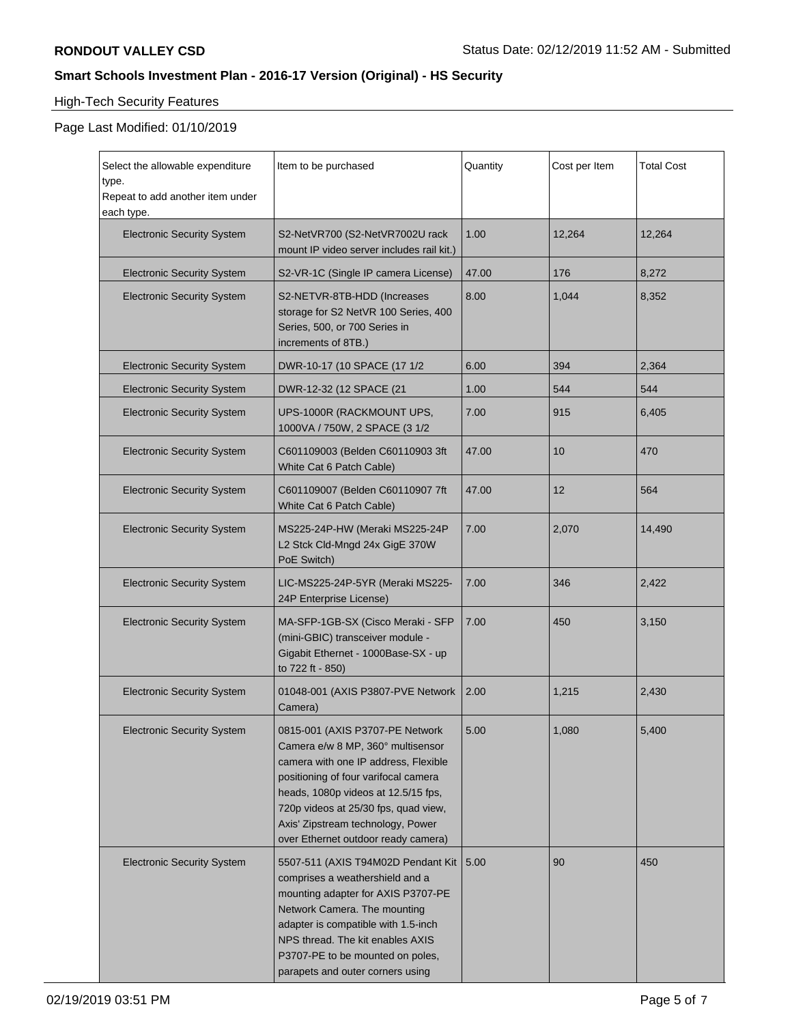# High-Tech Security Features

| Select the allowable expenditure<br>type.<br>Repeat to add another item under | Item to be purchased                                                                                                                                                                                                                                                                                            | Quantity | Cost per Item | <b>Total Cost</b> |
|-------------------------------------------------------------------------------|-----------------------------------------------------------------------------------------------------------------------------------------------------------------------------------------------------------------------------------------------------------------------------------------------------------------|----------|---------------|-------------------|
| each type.                                                                    |                                                                                                                                                                                                                                                                                                                 |          |               |                   |
| <b>Electronic Security System</b>                                             | S2-NetVR700 (S2-NetVR7002U rack<br>mount IP video server includes rail kit.)                                                                                                                                                                                                                                    | 1.00     | 12,264        | 12,264            |
| <b>Electronic Security System</b>                                             | S2-VR-1C (Single IP camera License)                                                                                                                                                                                                                                                                             | 47.00    | 176           | 8,272             |
| <b>Electronic Security System</b>                                             | S2-NETVR-8TB-HDD (Increases<br>storage for S2 NetVR 100 Series, 400<br>Series, 500, or 700 Series in<br>increments of 8TB.)                                                                                                                                                                                     | 8.00     | 1,044         | 8,352             |
| <b>Electronic Security System</b>                                             | DWR-10-17 (10 SPACE (17 1/2                                                                                                                                                                                                                                                                                     | 6.00     | 394           | 2,364             |
| <b>Electronic Security System</b>                                             | DWR-12-32 (12 SPACE (21                                                                                                                                                                                                                                                                                         | 1.00     | 544           | 544               |
| <b>Electronic Security System</b>                                             | UPS-1000R (RACKMOUNT UPS,<br>1000VA / 750W, 2 SPACE (3 1/2                                                                                                                                                                                                                                                      | 7.00     | 915           | 6,405             |
| <b>Electronic Security System</b>                                             | C601109003 (Belden C60110903 3ft<br>White Cat 6 Patch Cable)                                                                                                                                                                                                                                                    | 47.00    | 10            | 470               |
| <b>Electronic Security System</b>                                             | C601109007 (Belden C60110907 7ft<br>White Cat 6 Patch Cable)                                                                                                                                                                                                                                                    | 47.00    | 12            | 564               |
| <b>Electronic Security System</b>                                             | MS225-24P-HW (Meraki MS225-24P<br>L2 Stck Cld-Mngd 24x GigE 370W<br>PoE Switch)                                                                                                                                                                                                                                 | 7.00     | 2,070         | 14,490            |
| <b>Electronic Security System</b>                                             | LIC-MS225-24P-5YR (Meraki MS225-<br>24P Enterprise License)                                                                                                                                                                                                                                                     | 7.00     | 346           | 2,422             |
| <b>Electronic Security System</b>                                             | MA-SFP-1GB-SX (Cisco Meraki - SFP<br>(mini-GBIC) transceiver module -<br>Gigabit Ethernet - 1000Base-SX - up<br>to 722 ft - 850)                                                                                                                                                                                | 7.00     | 450           | 3,150             |
| <b>Electronic Security System</b>                                             | 01048-001 (AXIS P3807-PVE Network<br>Camera)                                                                                                                                                                                                                                                                    | 2.00     | 1,215         | 2,430             |
| <b>Electronic Security System</b>                                             | 0815-001 (AXIS P3707-PE Network<br>Camera e/w 8 MP, 360° multisensor<br>camera with one IP address, Flexible<br>positioning of four varifocal camera<br>heads, 1080p videos at 12.5/15 fps,<br>720p videos at 25/30 fps, quad view,<br>Axis' Zipstream technology, Power<br>over Ethernet outdoor ready camera) | 5.00     | 1,080         | 5,400             |
| <b>Electronic Security System</b>                                             | 5507-511 (AXIS T94M02D Pendant Kit<br>comprises a weathershield and a<br>mounting adapter for AXIS P3707-PE<br>Network Camera. The mounting<br>adapter is compatible with 1.5-inch<br>NPS thread. The kit enables AXIS<br>P3707-PE to be mounted on poles,<br>parapets and outer corners using                  | 5.00     | 90            | 450               |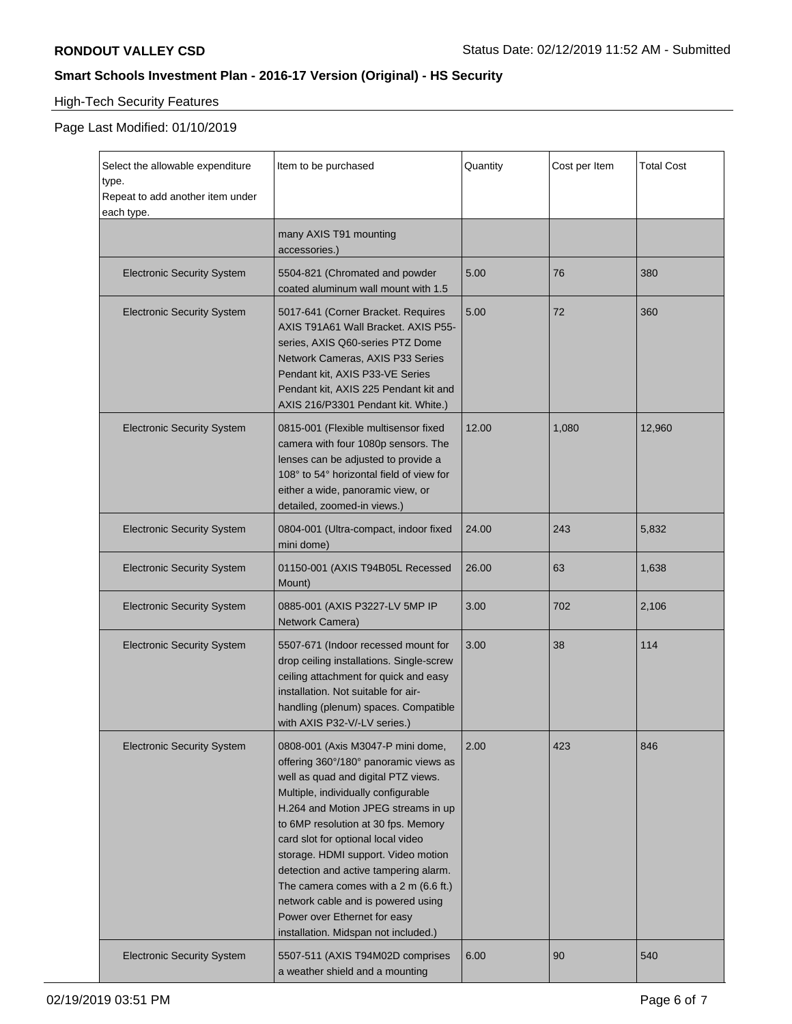# High-Tech Security Features

| Select the allowable expenditure<br>type.<br>Repeat to add another item under<br>each type. | Item to be purchased                                                                                                                                                                                                                                                                                                                                                                                                                                                                                                          | Quantity | Cost per Item | <b>Total Cost</b> |
|---------------------------------------------------------------------------------------------|-------------------------------------------------------------------------------------------------------------------------------------------------------------------------------------------------------------------------------------------------------------------------------------------------------------------------------------------------------------------------------------------------------------------------------------------------------------------------------------------------------------------------------|----------|---------------|-------------------|
|                                                                                             | many AXIS T91 mounting<br>accessories.)                                                                                                                                                                                                                                                                                                                                                                                                                                                                                       |          |               |                   |
| <b>Electronic Security System</b>                                                           | 5504-821 (Chromated and powder<br>coated aluminum wall mount with 1.5                                                                                                                                                                                                                                                                                                                                                                                                                                                         | 5.00     | 76            | 380               |
| <b>Electronic Security System</b>                                                           | 5017-641 (Corner Bracket. Requires<br>AXIS T91A61 Wall Bracket. AXIS P55-<br>series, AXIS Q60-series PTZ Dome<br>Network Cameras, AXIS P33 Series<br>Pendant kit, AXIS P33-VE Series<br>Pendant kit, AXIS 225 Pendant kit and<br>AXIS 216/P3301 Pendant kit. White.)                                                                                                                                                                                                                                                          | 5.00     | 72            | 360               |
| <b>Electronic Security System</b>                                                           | 0815-001 (Flexible multisensor fixed<br>camera with four 1080p sensors. The<br>lenses can be adjusted to provide a<br>108° to 54° horizontal field of view for<br>either a wide, panoramic view, or<br>detailed, zoomed-in views.)                                                                                                                                                                                                                                                                                            | 12.00    | 1,080         | 12,960            |
| <b>Electronic Security System</b>                                                           | 0804-001 (Ultra-compact, indoor fixed<br>mini dome)                                                                                                                                                                                                                                                                                                                                                                                                                                                                           | 24.00    | 243           | 5,832             |
| <b>Electronic Security System</b>                                                           | 01150-001 (AXIS T94B05L Recessed<br>Mount)                                                                                                                                                                                                                                                                                                                                                                                                                                                                                    | 26.00    | 63            | 1,638             |
| <b>Electronic Security System</b>                                                           | 0885-001 (AXIS P3227-LV 5MP IP<br>Network Camera)                                                                                                                                                                                                                                                                                                                                                                                                                                                                             | 3.00     | 702           | 2,106             |
| <b>Electronic Security System</b>                                                           | 5507-671 (Indoor recessed mount for<br>drop ceiling installations. Single-screw<br>ceiling attachment for quick and easy<br>installation. Not suitable for air-<br>handling (plenum) spaces. Compatible<br>with AXIS P32-V/-LV series.)                                                                                                                                                                                                                                                                                       | 3.00     | 38            | 114               |
| <b>Electronic Security System</b>                                                           | 0808-001 (Axis M3047-P mini dome,<br>offering 360°/180° panoramic views as<br>well as quad and digital PTZ views.<br>Multiple, individually configurable<br>H.264 and Motion JPEG streams in up<br>to 6MP resolution at 30 fps. Memory<br>card slot for optional local video<br>storage. HDMI support. Video motion<br>detection and active tampering alarm.<br>The camera comes with a $2 \text{ m}$ (6.6 ft.)<br>network cable and is powered using<br>Power over Ethernet for easy<br>installation. Midspan not included.) | 2.00     | 423           | 846               |
| <b>Electronic Security System</b>                                                           | 5507-511 (AXIS T94M02D comprises<br>a weather shield and a mounting                                                                                                                                                                                                                                                                                                                                                                                                                                                           | 6.00     | 90            | 540               |